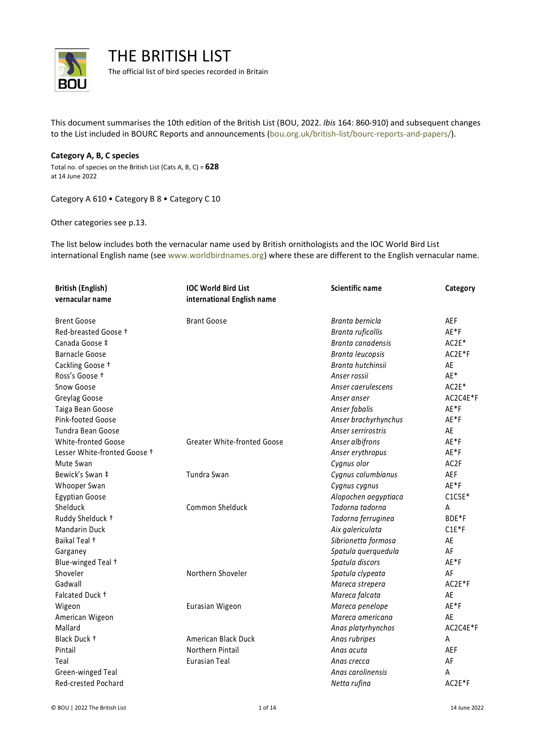

This document summarises the 10th edition of the British List (BOU, 2022. *Ibis* 164: 860-910) and subsequent changes to the List included in BOURC Reports and announcements [\(bou.org.uk/british-list/bourc-reports-and-papers/\)](http://www.bou.org.uk/british-list/bourc-reports-and-papers/).

#### **Category A, B, C species**

Total no. of species on the British List (Cats A, B, C) = **628** at 14 June 2022

THE BRITISH LIST

The official list of bird species recorded in Britain

Category A 610 • Category B 8 • Category C 10

Other categories see p.13.

The list below includes both the vernacular name used by British ornithologists and the IOC World Bird List international English name (see [www.worldbirdnames.org\)](http://www.worldbirdnames.org/) where these are different to the English vernacular name.

| <b>British (English)</b>     | <b>IOC World Bird List</b>         | <b>Scientific name</b>   | Category |
|------------------------------|------------------------------------|--------------------------|----------|
| vernacular name              | international English name         |                          |          |
| <b>Brent Goose</b>           | <b>Brant Goose</b>                 | Branta bernicla          | AEF      |
| Red-breasted Goose +         |                                    | <b>Branta ruficollis</b> | AE*F     |
| Canada Goose ‡               |                                    | Branta canadensis        | $AC2E*$  |
| <b>Barnacle Goose</b>        |                                    | Branta leucopsis         | AC2E*F   |
| Cackling Goose +             |                                    | Branta hutchinsii        | AE       |
| Ross's Goose +               |                                    | Anser rossii             | AE*      |
| Snow Goose                   |                                    | Anser caerulescens       | AC2E*    |
| Greylag Goose                |                                    | Anser anser              | AC2C4E*F |
| Taiga Bean Goose             |                                    | Anser fabalis            | AE*F     |
| Pink-footed Goose            |                                    | Anser brachyrhynchus     | AE*F     |
| Tundra Bean Goose            |                                    | Anser serrirostris       | AE       |
| <b>White-fronted Goose</b>   | <b>Greater White-fronted Goose</b> | Anser albifrons          | AE*F     |
| Lesser White-fronted Goose + |                                    | Anser erythropus         | AE*F     |
| Mute Swan                    |                                    | Cygnus olor              | AC2F     |
| Bewick's Swan ‡              | Tundra Swan                        | Cygnus columbianus       | AEF      |
| Whooper Swan                 |                                    | Cygnus cygnus            | AE*F     |
| <b>Egyptian Goose</b>        |                                    | Alopochen aegyptiaca     | $C1C5E*$ |
| Shelduck                     | Common Shelduck                    | Tadorna tadorna          | A        |
| Ruddy Shelduck +             |                                    | Tadorna ferruginea       | BDE*F    |
| <b>Mandarin Duck</b>         |                                    | Aix galericulata         | $C1E*F$  |
| Baikal Teal +                |                                    | Sibrionetta formosa      | AE       |
| Garganey                     |                                    | Spatula querquedula      | AF       |
| Blue-winged Teal +           |                                    | Spatula discors          | $AE*F$   |
| Shoveler                     | Northern Shoveler                  | Spatula clypeata         | AF       |
| Gadwall                      |                                    | Mareca strepera          | AC2E*F   |
| Falcated Duck +              |                                    | Mareca falcata           | AE       |
| Wigeon                       | Eurasian Wigeon                    | Mareca penelope          | AE*F     |
| American Wigeon              |                                    | Mareca americana         | AE       |
| Mallard                      |                                    | Anas platyrhynchos       | AC2C4E*F |
| Black Duck +                 | American Black Duck                | Anas rubripes            | A        |
| Pintail                      | Northern Pintail                   | Anas acuta               | AEF      |
| Teal                         | <b>Eurasian Teal</b>               | Anas crecca              | AF       |
| Green-winged Teal            |                                    | Anas carolinensis        | Α        |
| Red-crested Pochard          |                                    | Netta rufina             | $AC2E*F$ |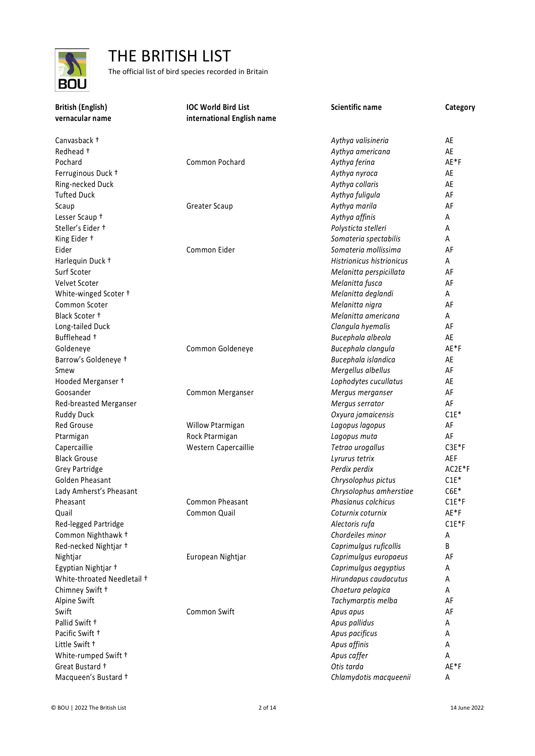

| <b>British (English)</b><br>vernacular name | <b>IOC World Bird List</b><br>international English name | Scientific name           | Category |
|---------------------------------------------|----------------------------------------------------------|---------------------------|----------|
|                                             |                                                          |                           |          |
| Canvasback +                                |                                                          | Aythya valisineria        | AE       |
| Redhead +                                   |                                                          | Aythya americana          | AE       |
| Pochard                                     | Common Pochard                                           | Aythya ferina             | AE*F     |
| Ferruginous Duck +                          |                                                          | Aythya nyroca             | AE       |
| Ring-necked Duck                            |                                                          | Aythya collaris           | AE       |
| <b>Tufted Duck</b>                          |                                                          | Aythya fuligula           | AF       |
| Scaup                                       | Greater Scaup                                            | Aythya marila             | AF       |
| Lesser Scaup +                              |                                                          | Aythya affinis            | Α        |
| Steller's Eider +                           |                                                          | Polysticta stelleri       | Α        |
| King Eider +                                |                                                          | Somateria spectabilis     | Α        |
| Eider                                       | Common Eider                                             | Somateria mollissima      | AF       |
|                                             |                                                          | Histrionicus histrionicus | А        |
| Harlequin Duck +                            |                                                          |                           |          |
| Surf Scoter<br>Velvet Scoter                |                                                          | Melanitta perspicillata   | AF<br>AF |
|                                             |                                                          | Melanitta fusca           |          |
| White-winged Scoter +                       |                                                          | Melanitta deglandi        | А        |
| Common Scoter                               |                                                          | Melanitta nigra           | AF       |
| Black Scoter +                              |                                                          | Melanitta americana       | Α        |
| Long-tailed Duck                            |                                                          | Clangula hyemalis         | AF       |
| Bufflehead +                                |                                                          | Bucephala albeola         | AE       |
| Goldeneye                                   | Common Goldeneye                                         | Bucephala clangula        | AE*F     |
| Barrow's Goldeneye +                        |                                                          | Bucephala islandica       | AE       |
| Smew                                        |                                                          | Mergellus albellus        | AF       |
| Hooded Merganser +                          |                                                          | Lophodytes cucullatus     | AE       |
| Goosander                                   | Common Merganser                                         | Mergus merganser          | AF       |
| Red-breasted Merganser                      |                                                          | Mergus serrator           | AF       |
| <b>Ruddy Duck</b>                           |                                                          | Oxyura jamaicensis        | $C1E*$   |
| <b>Red Grouse</b>                           | Willow Ptarmigan                                         | Lagopus lagopus           | AF       |
| Ptarmigan                                   | Rock Ptarmigan                                           | Lagopus muta              | AF       |
| Capercaillie                                | Western Capercaillie                                     | Tetrao urogallus          | $C3E*F$  |
| <b>Black Grouse</b>                         |                                                          | Lyrurus tetrix            | AEF      |
| <b>Grey Partridge</b>                       |                                                          | Perdix perdix             | AC2E*F   |
| Golden Pheasant                             |                                                          | Chrysolophus pictus       | $C1E*$   |
| Lady Amherst's Pheasant                     |                                                          | Chrysolophus amherstiae   | $C6E*$   |
| Pheasant                                    | Common Pheasant                                          | Phasianus colchicus       | $C1E*F$  |
| Quail                                       | Common Quail                                             | Coturnix coturnix         | AE*F     |
| Red-legged Partridge                        |                                                          | Alectoris rufa            | $C1E*F$  |
| Common Nighthawk +                          |                                                          | Chordeiles minor          | Α        |
| Red-necked Nightjar +                       |                                                          | Caprimulgus ruficollis    | B        |
| Nightjar                                    | European Nightjar                                        | Caprimulgus europaeus     | AF       |
| Egyptian Nightjar +                         |                                                          | Caprimulgus aegyptius     | Α        |
| White-throated Needletail +                 |                                                          | Hirundapus caudacutus     | Α        |
| Chimney Swift +                             |                                                          | Chaetura pelagica         | A        |
| Alpine Swift                                |                                                          | Tachymarptis melba        | AF       |
| Swift                                       | Common Swift                                             | Apus apus                 | AF       |
| Pallid Swift +                              |                                                          | Apus pallidus             | Α        |
| Pacific Swift +                             |                                                          | Apus pacificus            | Α        |
| Little Swift +                              |                                                          | Apus affinis              | Α        |
| White-rumped Swift +                        |                                                          | Apus caffer               | Α        |
| Great Bustard +                             |                                                          | Otis tarda                | AE*F     |
| Macqueen's Bustard +                        |                                                          | Chlamydotis macqueenii    | А        |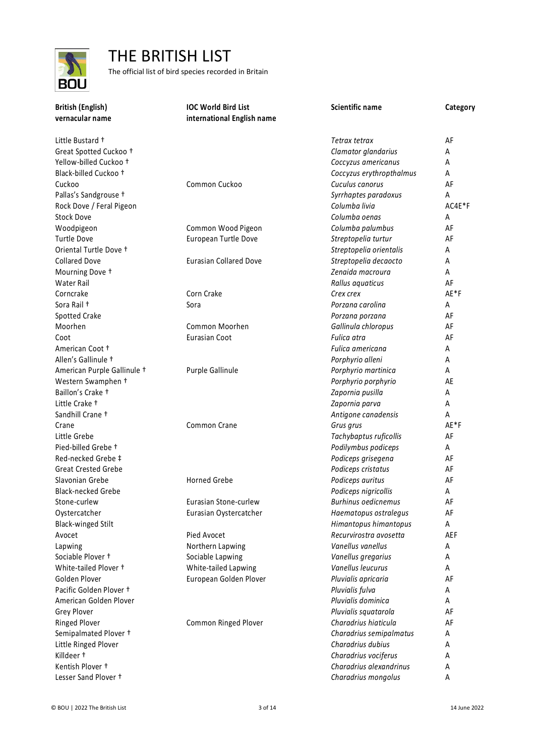

| <b>British (English)</b><br>vernacular name | <b>IOC World Bird List</b><br>international English name | <b>Scientific name</b>     | Category |
|---------------------------------------------|----------------------------------------------------------|----------------------------|----------|
|                                             |                                                          |                            |          |
| Little Bustard +                            |                                                          | Tetrax tetrax              | AF       |
| Great Spotted Cuckoo +                      |                                                          | Clamator glandarius        | A        |
| Yellow-billed Cuckoo +                      |                                                          | Coccyzus americanus        | A        |
| Black-billed Cuckoo +                       |                                                          | Coccyzus erythropthalmus   | A        |
| Cuckoo                                      | Common Cuckoo                                            | Cuculus canorus            | AF       |
| Pallas's Sandgrouse +                       |                                                          | Syrrhaptes paradoxus       | Α        |
| Rock Dove / Feral Pigeon                    |                                                          | Columba livia              | AC4E*F   |
| <b>Stock Dove</b>                           |                                                          | Columba oenas              | A        |
| Woodpigeon                                  | Common Wood Pigeon                                       | Columba palumbus           | AF       |
| <b>Turtle Dove</b>                          | European Turtle Dove                                     | Streptopelia turtur        | AF       |
| Oriental Turtle Dove +                      |                                                          | Streptopelia orientalis    | Α        |
| <b>Collared Dove</b>                        | <b>Eurasian Collared Dove</b>                            | Streptopelia decaocto      | A        |
| Mourning Dove +                             |                                                          | Zenaida macroura           | A        |
| Water Rail                                  |                                                          | Rallus aquaticus           | AF       |
| Corncrake                                   | Corn Crake                                               | Crex crex                  | AE*F     |
| Sora Rail +                                 | Sora                                                     | Porzana carolina           | Α        |
| Spotted Crake                               |                                                          | Porzana porzana            | AF       |
| Moorhen                                     | Common Moorhen                                           | Gallinula chloropus        | AF       |
| Coot                                        | Eurasian Coot                                            | Fulica atra                | AF       |
| American Coot +                             |                                                          | Fulica americana           | Α        |
| Allen's Gallinule +                         |                                                          | Porphyrio alleni           | A        |
| American Purple Gallinule +                 | Purple Gallinule                                         | Porphyrio martinica        | A        |
| Western Swamphen +                          |                                                          | Porphyrio porphyrio        | AE       |
| Baillon's Crake +                           |                                                          | Zapornia pusilla           | A        |
| Little Crake +                              |                                                          | Zapornia parva             | A        |
| Sandhill Crane +                            |                                                          | Antigone canadensis        | Α        |
| Crane                                       | Common Crane                                             | Grus grus                  | AE*F     |
| Little Grebe                                |                                                          | Tachybaptus ruficollis     | AF       |
| Pied-billed Grebe +                         |                                                          | Podilymbus podiceps        | A        |
| Red-necked Grebe ‡                          |                                                          | Podiceps grisegena         | AF       |
| <b>Great Crested Grebe</b>                  |                                                          | Podiceps cristatus         | AF       |
| Slavonian Grebe                             | <b>Horned Grebe</b>                                      | Podiceps auritus           | AF       |
| <b>Black-necked Grebe</b>                   |                                                          | Podiceps nigricollis       | Α        |
| Stone-curlew                                | Eurasian Stone-curlew                                    | <b>Burhinus oedicnemus</b> | AF       |
| Oystercatcher                               | Eurasian Oystercatcher                                   | Haematopus ostralegus      | AF       |
| <b>Black-winged Stilt</b>                   |                                                          | Himantopus himantopus      | A        |
| Avocet                                      | Pied Avocet                                              | Recurvirostra avosetta     | AEF      |
| Lapwing                                     | Northern Lapwing                                         | Vanellus vanellus          | Α        |
| Sociable Plover +                           | Sociable Lapwing                                         | Vanellus gregarius         | Α        |
| White-tailed Plover +                       | White-tailed Lapwing                                     | Vanellus leucurus          | A        |
| Golden Plover                               | European Golden Plover                                   | Pluvialis apricaria        | AF       |
| Pacific Golden Plover +                     |                                                          | Pluvialis fulva            | A        |
| American Golden Plover                      |                                                          | Pluvialis dominica         | A        |
| <b>Grey Plover</b>                          |                                                          | Pluvialis squatarola       | AF       |
| <b>Ringed Plover</b>                        | Common Ringed Plover                                     | Charadrius hiaticula       | AF       |
| Semipalmated Plover +                       |                                                          | Charadrius semipalmatus    | A        |
| Little Ringed Plover                        |                                                          | Charadrius dubius          | Α        |
| Killdeer +                                  |                                                          | Charadrius vociferus       | Α        |
| Kentish Plover +                            |                                                          | Charadrius alexandrinus    | Α        |
| Lesser Sand Plover +                        |                                                          | Charadrius mongolus        | Α        |
|                                             |                                                          |                            |          |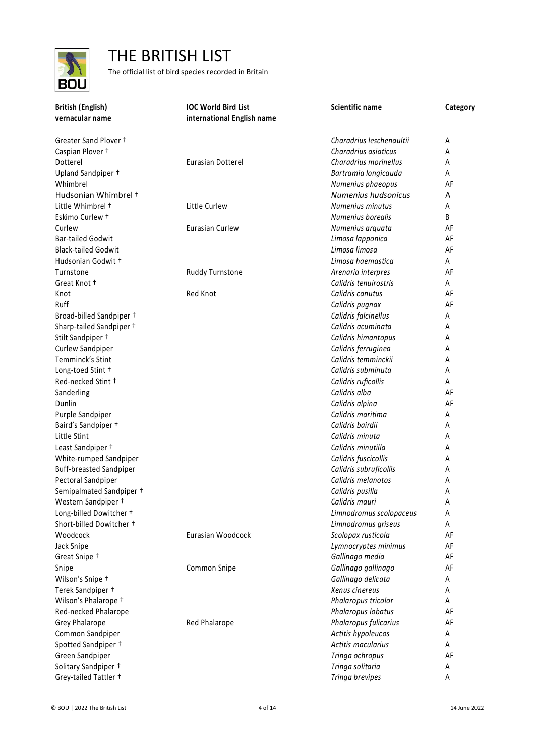

| <b>British (English)</b><br>vernacular name | <b>IOC World Bird List</b><br>international English name | Scientific name                             | Category |
|---------------------------------------------|----------------------------------------------------------|---------------------------------------------|----------|
| Greater Sand Plover +                       |                                                          | Charadrius leschenaultii                    |          |
| Caspian Plover +                            |                                                          | Charadrius asiaticus                        | Α<br>A   |
| Dotterel                                    | Eurasian Dotterel                                        | Charadrius morinellus                       | A        |
| Upland Sandpiper +                          |                                                          | Bartramia longicauda                        | A        |
| Whimbrel                                    |                                                          | Numenius phaeopus                           | AF       |
| Hudsonian Whimbrel +                        |                                                          | Numenius hudsonicus                         | A        |
| Little Whimbrel +                           | Little Curlew                                            | Numenius minutus                            | A        |
| Eskimo Curlew +                             |                                                          | Numenius borealis                           | B        |
| Curlew                                      | Eurasian Curlew                                          | Numenius arquata                            | AF       |
| <b>Bar-tailed Godwit</b>                    |                                                          | Limosa lapponica                            | AF       |
| <b>Black-tailed Godwit</b>                  |                                                          | Limosa limosa                               | AF       |
| Hudsonian Godwit +                          |                                                          | Limosa haemastica                           | Α        |
| Turnstone                                   |                                                          |                                             | AF       |
| Great Knot +                                | Ruddy Turnstone                                          | Arenaria interpres<br>Calidris tenuirostris | Α        |
|                                             |                                                          |                                             | AF       |
| Knot<br>Ruff                                | Red Knot                                                 | Calidris canutus                            |          |
|                                             |                                                          | Calidris pugnax                             | AF       |
| Broad-billed Sandpiper +                    |                                                          | Calidris falcinellus                        | A<br>A   |
| Sharp-tailed Sandpiper +                    |                                                          | Calidris acuminata                          |          |
| Stilt Sandpiper +                           |                                                          | Calidris himantopus                         | A        |
| <b>Curlew Sandpiper</b>                     |                                                          | Calidris ferruginea                         | Α        |
| Temminck's Stint                            |                                                          | Calidris temminckii                         | Α        |
| Long-toed Stint +                           |                                                          | Calidris subminuta                          | A        |
| Red-necked Stint +                          |                                                          | Calidris ruficollis                         | A        |
| Sanderling                                  |                                                          | Calidris alba                               | AF       |
| Dunlin                                      |                                                          | Calidris alpina                             | AF       |
| Purple Sandpiper                            |                                                          | Calidris maritima                           | Α        |
| Baird's Sandpiper +                         |                                                          | Calidris bairdii                            | Α        |
| Little Stint                                |                                                          | Calidris minuta                             | Α        |
| Least Sandpiper +                           |                                                          | Calidris minutilla                          | A        |
| White-rumped Sandpiper                      |                                                          | Calidris fuscicollis                        | A        |
| <b>Buff-breasted Sandpiper</b>              |                                                          | Calidris subruficollis                      | Α        |
| Pectoral Sandpiper                          |                                                          | Calidris melanotos                          | Α        |
| Semipalmated Sandpiper +                    |                                                          | Calidris pusilla                            | Α        |
| Western Sandpiper +                         |                                                          | Calidris mauri                              | А        |
| Long-billed Dowitcher +                     |                                                          | Limnodromus scolopaceus                     | Α        |
| Short-billed Dowitcher +                    |                                                          | Limnodromus griseus                         | Α        |
| Woodcock                                    | Eurasian Woodcock                                        | Scolopax rusticola                          | AF       |
| Jack Snipe                                  |                                                          | Lymnocryptes minimus                        | AF       |
| Great Snipe +                               |                                                          | Gallinago media                             | AF       |
| Snipe                                       | Common Snipe                                             | Gallinago gallinago                         | AF       |
| Wilson's Snipe +                            |                                                          | Gallinago delicata                          | Α        |
| Terek Sandpiper +                           |                                                          | Xenus cinereus                              | Α        |
| Wilson's Phalarope +                        |                                                          | Phalaropus tricolor                         | Α        |
| Red-necked Phalarope                        |                                                          | Phalaropus lobatus                          | AF       |
| Grey Phalarope                              | <b>Red Phalarope</b>                                     | Phalaropus fulicarius                       | AF       |
| Common Sandpiper                            |                                                          | Actitis hypoleucos                          | A        |
| Spotted Sandpiper +                         |                                                          | Actitis macularius                          | A        |
| Green Sandpiper                             |                                                          | Tringa ochropus                             | AF       |
| Solitary Sandpiper +                        |                                                          | Tringa solitaria                            | А        |
| Grey-tailed Tattler +                       |                                                          | Tringa brevipes                             | Α        |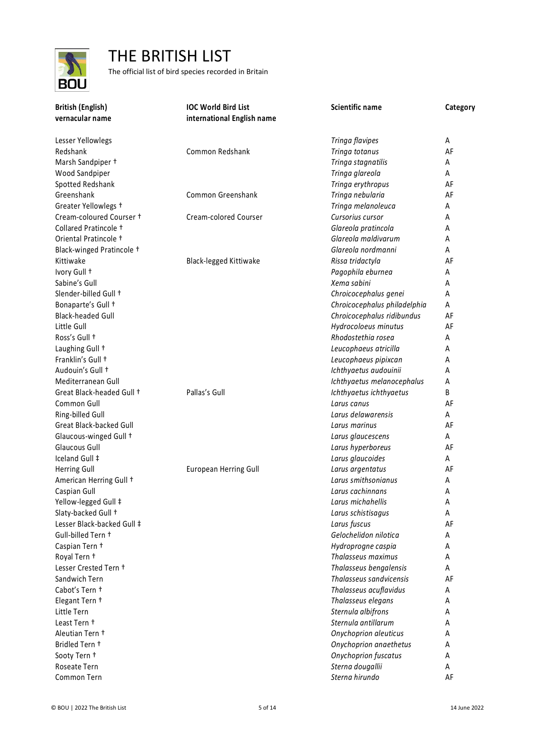

| <b>British (English)</b>   | <b>IOC World Bird List</b>    | Scientific name              | Category |
|----------------------------|-------------------------------|------------------------------|----------|
| vernacular name            | international English name    |                              |          |
|                            |                               |                              |          |
| Lesser Yellowlegs          |                               | Tringa flavipes              | A        |
| Redshank                   | Common Redshank               | Tringa totanus               | AF       |
| Marsh Sandpiper +          |                               | Tringa stagnatilis           | Α        |
| Wood Sandpiper             |                               | Tringa glareola              | A        |
| Spotted Redshank           |                               | Tringa erythropus            | AF       |
| Greenshank                 | Common Greenshank             | Tringa nebularia             | AF       |
| Greater Yellowlegs +       |                               | Tringa melanoleuca           | Α        |
| Cream-coloured Courser +   | Cream-colored Courser         | Cursorius cursor             | A        |
| Collared Pratincole +      |                               | Glareola pratincola          | A        |
| Oriental Pratincole +      |                               | Glareola maldivarum          | A        |
| Black-winged Pratincole +  |                               | Glareola nordmanni           | A        |
| Kittiwake                  | <b>Black-legged Kittiwake</b> | Rissa tridactyla             | AF       |
| Ivory Gull +               |                               | Pagophila eburnea            | Α        |
| Sabine's Gull              |                               | Xema sabini                  | A        |
| Slender-billed Gull +      |                               | Chroicocephalus genei        | A        |
| Bonaparte's Gull +         |                               | Chroicocephalus philadelphia | A        |
| <b>Black-headed Gull</b>   |                               | Chroicocephalus ridibundus   | AF       |
| Little Gull                |                               | Hydrocoloeus minutus         | AF       |
| Ross's Gull +              |                               | Rhodostethia rosea           | Α        |
| Laughing Gull +            |                               | Leucophaeus atricilla        | Α        |
| Franklin's Gull +          |                               | Leucophaeus pipixcan         | A        |
| Audouin's Gull +           |                               | Ichthyaetus audouinii        | A        |
| Mediterranean Gull         |                               | Ichthyaetus melanocephalus   | A        |
| Great Black-headed Gull +  | Pallas's Gull                 | Ichthyaetus ichthyaetus      | В        |
| Common Gull                |                               | Larus canus                  | AF       |
| Ring-billed Gull           |                               | Larus delawarensis           | Α        |
| Great Black-backed Gull    |                               | Larus marinus                | AF       |
| Glaucous-winged Gull +     |                               | Larus glaucescens            | A        |
| Glaucous Gull              |                               | Larus hyperboreus            | AF       |
| Iceland Gull ‡             |                               | Larus glaucoides             | A        |
| <b>Herring Gull</b>        | <b>European Herring Gull</b>  | Larus argentatus             | AF       |
| American Herring Gull +    |                               | Larus smithsonianus          | Α        |
| Caspian Gull               |                               | Larus cachinnans             | Α        |
| Yellow-legged Gull ‡       |                               | Larus michahellis            | A        |
| Slaty-backed Gull +        |                               | Larus schistisagus           | Α        |
| Lesser Black-backed Gull ‡ |                               | Larus fuscus                 | AF       |
| Gull-billed Tern +         |                               | Gelochelidon nilotica        | Α        |
| Caspian Tern +             |                               | Hydroprogne caspia           | A        |
| Royal Tern +               |                               | Thalasseus maximus           | A        |
| Lesser Crested Tern +      |                               | Thalasseus bengalensis       | A        |
| Sandwich Tern              |                               | Thalasseus sandvicensis      | AF       |
| Cabot's Tern +             |                               | Thalasseus acuflavidus       | Α        |
| Elegant Tern +             |                               | Thalasseus elegans           | A        |
| Little Tern                |                               | Sternula albifrons           | A        |
| Least Tern +               |                               | Sternula antillarum          | A        |
| Aleutian Tern +            |                               | Onychoprion aleuticus        | Α        |
| Bridled Tern +             |                               | Onychoprion anaethetus       | Α        |
| Sooty Tern +               |                               | Onychoprion fuscatus         | Α        |
| Roseate Tern               |                               | Sterna dougallii             | Α        |
|                            |                               |                              |          |
| Common Tern                |                               | Sterna hirundo               | AF       |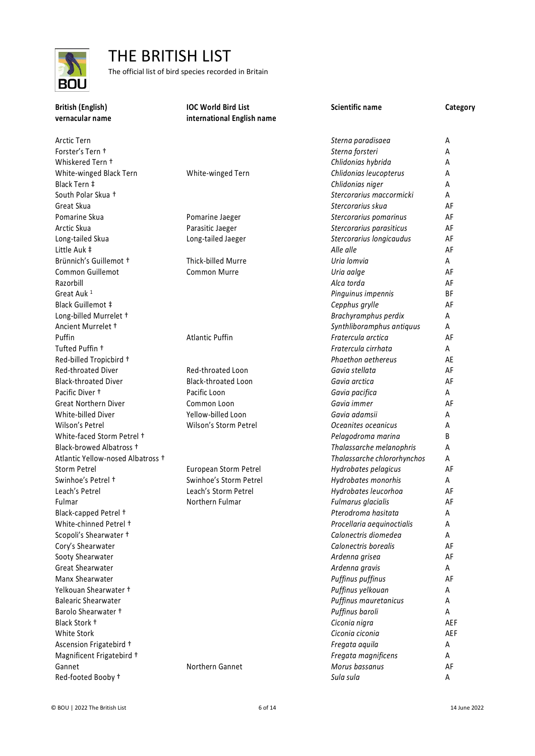

| <b>British (English)</b><br>vernacular name | <b>IOC World Bird List</b><br>international English name | <b>Scientific name</b>      | Category |
|---------------------------------------------|----------------------------------------------------------|-----------------------------|----------|
| Arctic Tern                                 |                                                          | Sterna paradisaea           | A        |
| Forster's Tern +                            |                                                          | Sterna forsteri             | A        |
| Whiskered Tern +                            |                                                          | Chlidonias hybrida          | A        |
| White-winged Black Tern                     | White-winged Tern                                        | Chlidonias leucopterus      | A        |
| Black Tern ‡                                |                                                          | Chlidonias niger            | A        |
| South Polar Skua +                          |                                                          | Stercorarius maccormicki    | A        |
| Great Skua                                  |                                                          | Stercorarius skua           | AF       |
| Pomarine Skua                               | Pomarine Jaeger                                          | Stercorarius pomarinus      | AF       |
| Arctic Skua                                 | Parasitic Jaeger                                         | Stercorarius parasiticus    | AF       |
| Long-tailed Skua                            | Long-tailed Jaeger                                       | Stercorarius longicaudus    | AF       |
| Little Auk ‡                                |                                                          | Alle alle                   | AF       |
| Brünnich's Guillemot +                      | <b>Thick-billed Murre</b>                                | Uria lomvia                 | A        |
| Common Guillemot                            | Common Murre                                             | Uria aalge                  | AF       |
| Razorbill                                   |                                                          | Alca torda                  | AF       |
| Great Auk <sup>1</sup>                      |                                                          | Pinguinus impennis          | BF       |
| Black Guillemot ‡                           |                                                          | Cepphus grylle              | AF       |
| Long-billed Murrelet +                      |                                                          | Brachyramphus perdix        | A        |
| Ancient Murrelet +                          |                                                          | Synthliboramphus antiquus   | A        |
| Puffin                                      | <b>Atlantic Puffin</b>                                   | Fratercula arctica          | AF       |
| Tufted Puffin +                             |                                                          | Fratercula cirrhata         | A        |
| Red-billed Tropicbird +                     |                                                          | Phaethon aethereus          | AE       |
| Red-throated Diver                          | Red-throated Loon                                        | Gavia stellata              | AF       |
| <b>Black-throated Diver</b>                 | <b>Black-throated Loon</b>                               | Gavia arctica               | AF       |
| Pacific Diver +                             | Pacific Loon                                             | Gavia pacifica              | A        |
| <b>Great Northern Diver</b>                 | Common Loon                                              | Gavia immer                 | AF       |
| White-billed Diver                          | Yellow-billed Loon                                       | Gavia adamsii               | A        |
| Wilson's Petrel                             | Wilson's Storm Petrel                                    | Oceanites oceanicus         | A        |
| White-faced Storm Petrel +                  |                                                          | Pelagodroma marina          | B        |
| Black-browed Albatross +                    |                                                          | Thalassarche melanophris    | A        |
| Atlantic Yellow-nosed Albatross +           |                                                          | Thalassarche chlororhynchos | A        |
| Storm Petrel                                | European Storm Petrel                                    | Hydrobates pelagicus        | AF       |
| Swinhoe's Petrel +                          | Swinhoe's Storm Petrel                                   | Hydrobates monorhis         | A        |
| Leach's Petrel                              | Leach's Storm Petrel                                     | Hydrobates leucorhoa        | AF       |
| Fulmar                                      | Northern Fulmar                                          | Fulmarus glacialis          | AF       |
| Black-capped Petrel +                       |                                                          | Pterodroma hasitata         | Α        |
| White-chinned Petrel +                      |                                                          | Procellaria aequinoctialis  | Α        |
| Scopoli's Shearwater +                      |                                                          | Calonectris diomedea        | Α        |
| Cory's Shearwater                           |                                                          | Calonectris borealis        | AF       |
| Sooty Shearwater                            |                                                          | Ardenna grisea              | AF       |
| Great Shearwater                            |                                                          | Ardenna gravis              | A        |
| Manx Shearwater                             |                                                          | Puffinus puffinus           | AF       |
| Yelkouan Shearwater +                       |                                                          | Puffinus yelkouan           | Α        |
| <b>Balearic Shearwater</b>                  |                                                          | Puffinus mauretanicus       | Α        |
| Barolo Shearwater +                         |                                                          | Puffinus baroli             | A        |
| Black Stork +                               |                                                          | Ciconia nigra               | AEF      |
| White Stork                                 |                                                          | Ciconia ciconia             | AEF      |
| Ascension Frigatebird +                     |                                                          | Fregata aquila              | Α        |
| Magnificent Frigatebird +                   |                                                          | Fregata magnificens         | Α        |
| Gannet                                      | Northern Gannet                                          | Morus bassanus              | AF       |
| Red-footed Booby +                          |                                                          | Sula sula                   | Α        |
|                                             |                                                          |                             |          |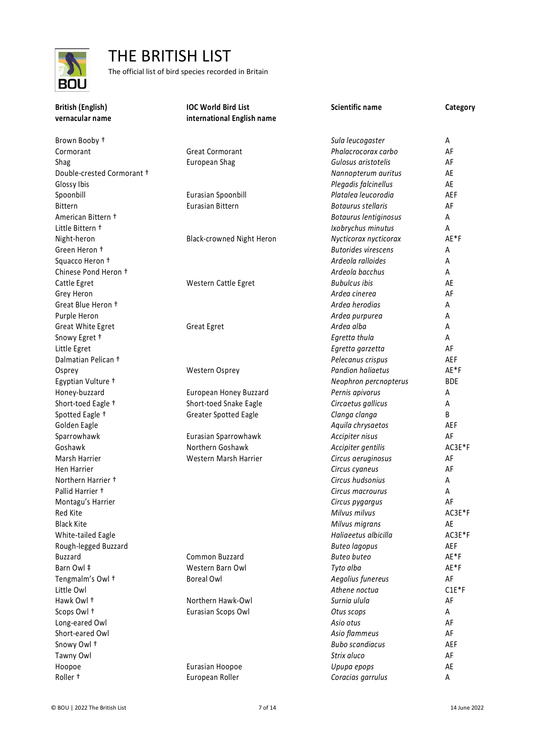

| <b>British (English)</b><br>vernacular name | <b>IOC World Bird List</b><br>international English name | <b>Scientific name</b>     | Category   |
|---------------------------------------------|----------------------------------------------------------|----------------------------|------------|
| Brown Booby +                               |                                                          | Sula leucogaster           | Α          |
| Cormorant                                   | <b>Great Cormorant</b>                                   | Phalacrocorax carbo        | AF         |
| Shag                                        | European Shag                                            | Gulosus aristotelis        | AF         |
| Double-crested Cormorant +                  |                                                          | Nannopterum auritus        | AE         |
| Glossy Ibis                                 |                                                          | Plegadis falcinellus       | AE         |
| Spoonbill                                   | Eurasian Spoonbill                                       | Platalea leucorodia        | AEF        |
| <b>Bittern</b>                              | Eurasian Bittern                                         | Botaurus stellaris         | AF         |
| American Bittern +                          |                                                          | Botaurus lentiginosus      | Α          |
| Little Bittern +                            |                                                          | Ixobrychus minutus         | Α          |
| Night-heron                                 | Black-crowned Night Heron                                | Nycticorax nycticorax      | AE*F       |
| Green Heron +                               |                                                          | <b>Butorides virescens</b> | Α          |
| Squacco Heron +                             |                                                          | Ardeola ralloides          | A          |
| Chinese Pond Heron +                        |                                                          | Ardeola bacchus            | A          |
| Cattle Egret                                | Western Cattle Egret                                     | <b>Bubulcus ibis</b>       | AE         |
| Grey Heron                                  |                                                          | Ardea cinerea              | AF         |
| Great Blue Heron +                          |                                                          | Ardea herodias             | Α          |
| Purple Heron                                |                                                          | Ardea purpurea             | Α          |
| <b>Great White Egret</b>                    | <b>Great Egret</b>                                       | Ardea alba                 | A          |
| Snowy Egret +                               |                                                          | Egretta thula              | A          |
| Little Egret                                |                                                          | Egretta garzetta           | AF         |
| Dalmatian Pelican +                         |                                                          | Pelecanus crispus          | AEF        |
| Osprey                                      | Western Osprey                                           | <b>Pandion haliaetus</b>   | AE*F       |
| Egyptian Vulture +                          |                                                          | Neophron percnopterus      | <b>BDE</b> |
| Honey-buzzard                               | European Honey Buzzard                                   | Pernis apivorus            | Α          |
| Short-toed Eagle +                          | Short-toed Snake Eagle                                   | Circaetus gallicus         | Α          |
| Spotted Eagle +                             | <b>Greater Spotted Eagle</b>                             | Clanga clanga              | B          |
| Golden Eagle                                |                                                          | Aquila chrysaetos          | AEF        |
| Sparrowhawk                                 | Eurasian Sparrowhawk                                     | Accipiter nisus            | AF         |
| Goshawk                                     | Northern Goshawk                                         | Accipiter gentilis         | AC3E*F     |
| Marsh Harrier                               | Western Marsh Harrier                                    | Circus aeruginosus         | AF         |
| Hen Harrier                                 |                                                          | Circus cyaneus             | AF         |
| Northern Harrier +                          |                                                          | Circus hudsonius           | Α          |
| Pallid Harrier +                            |                                                          | Circus macrourus           | Α          |
| Montagu's Harrier                           |                                                          | Circus pygargus            | AF         |
| Red Kite                                    |                                                          | Milvus milvus              | AC3E*F     |
| <b>Black Kite</b>                           |                                                          | Milvus migrans             | AE         |
| White-tailed Eagle                          |                                                          | Haliaeetus albicilla       | AC3E*F     |
| Rough-legged Buzzard                        |                                                          | <b>Buteo lagopus</b>       | AEF        |
| Buzzard                                     | Common Buzzard                                           | Buteo buteo                | $AE*F$     |
| Barn Owl ‡                                  | Western Barn Owl                                         | Tyto alba                  | $AE*F$     |
| Tengmalm's Owl +                            | <b>Boreal Owl</b>                                        | Aegolius funereus          | AF         |
| Little Owl                                  |                                                          | Athene noctua              | $C1E*F$    |
| Hawk Owl +                                  | Northern Hawk-Owl                                        | Surnia ulula               | AF         |
| Scops Owl +                                 | Eurasian Scops Owl                                       | Otus scops                 | Α          |
| Long-eared Owl                              |                                                          | Asio otus                  | AF         |
| Short-eared Owl                             |                                                          | Asio flammeus              | AF         |
| Snowy Owl +                                 |                                                          | <b>Bubo scandiacus</b>     | AEF        |
| Tawny Owl                                   |                                                          | Strix aluco                | AF         |
| Hoopoe                                      | Eurasian Hoopoe                                          | Upupa epops                | AE         |
| Roller +                                    | European Roller                                          | Coracias garrulus          | А          |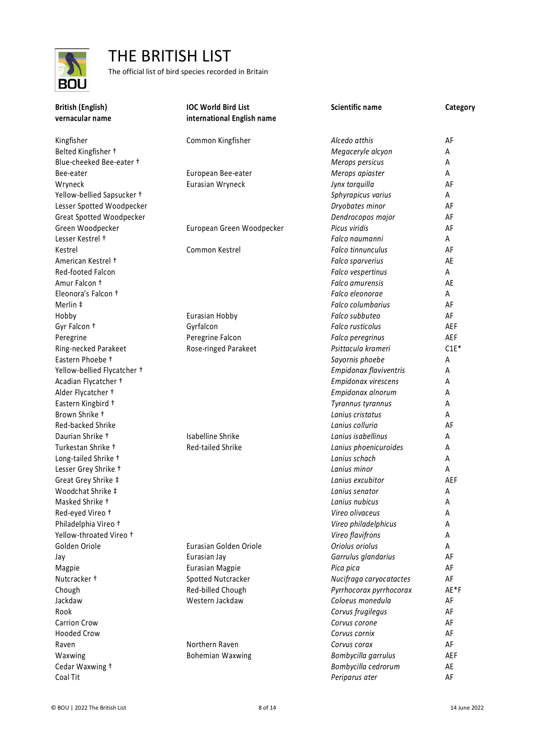

| <b>British (English)</b><br>vernacular name | <b>IOC World Bird List</b><br>international English name | <b>Scientific name</b>   | Category   |
|---------------------------------------------|----------------------------------------------------------|--------------------------|------------|
| Kingfisher                                  | Common Kingfisher                                        | Alcedo atthis            | AF         |
| Belted Kingfisher +                         |                                                          | Megaceryle alcyon        | Α          |
| Blue-cheeked Bee-eater +                    |                                                          | Merops persicus          | A          |
| Bee-eater                                   | European Bee-eater                                       | Merops apiaster          | A          |
| Wryneck                                     | Eurasian Wryneck                                         | Jynx torquilla           | AF         |
| Yellow-bellied Sapsucker +                  |                                                          | Sphyrapicus varius       | Α          |
| Lesser Spotted Woodpecker                   |                                                          | Dryobates minor          | AF         |
| Great Spotted Woodpecker                    |                                                          | Dendrocopos major        | AF         |
| Green Woodpecker                            | European Green Woodpecker                                | Picus viridis            | AF         |
| Lesser Kestrel +                            |                                                          | Falco naumanni           | Α          |
| Kestrel                                     | Common Kestrel                                           | <b>Falco tinnunculus</b> | AF         |
| American Kestrel +                          |                                                          | Falco sparverius         | AE         |
| Red-footed Falcon                           |                                                          | Falco vespertinus        | Α          |
| Amur Falcon +                               |                                                          | Falco amurensis          | AE         |
| Eleonora's Falcon +                         |                                                          | Falco eleonorae          | Α          |
| Merlin ‡                                    |                                                          | Falco columbarius        | AF         |
| Hobby                                       | Eurasian Hobby                                           | Falco subbuteo           | AF         |
| Gyr Falcon +                                | Gyrfalcon                                                | Falco rusticolus         | AEF        |
| Peregrine                                   | Peregrine Falcon                                         | Falco peregrinus         | AEF        |
| Ring-necked Parakeet                        | Rose-ringed Parakeet                                     | Psittacula krameri       | $C1E*$     |
| Eastern Phoebe +                            |                                                          | Sayornis phoebe          | Α          |
| Yellow-bellied Flycatcher +                 |                                                          | Empidonax flaviventris   | A          |
| Acadian Flycatcher +                        |                                                          | Empidonax virescens      | Α          |
| Alder Flycatcher +                          |                                                          | Empidonax alnorum        | A          |
| Eastern Kingbird +                          |                                                          | Tyrannus tyrannus        | A          |
| Brown Shrike +                              |                                                          | Lanius cristatus         | A          |
| Red-backed Shrike                           |                                                          | Lanius collurio          | AF         |
| Daurian Shrike +                            | <b>Isabelline Shrike</b>                                 | Lanius isabellinus       | Α          |
| Turkestan Shrike +                          | Red-tailed Shrike                                        | Lanius phoenicuroides    | Α          |
| Long-tailed Shrike +                        |                                                          | Lanius schach            | Α          |
| Lesser Grey Shrike +                        |                                                          | Lanius minor             | Α          |
| Great Grey Shrike ‡                         |                                                          | Lanius excubitor         | <b>AEF</b> |
| Woodchat Shrike ‡                           |                                                          | Lanius senator           | Α          |
| Masked Shrike +                             |                                                          | Lanius nubicus           | Α          |
| Red-eyed Vireo +                            |                                                          | Vireo olivaceus          | Α          |
| Philadelphia Vireo +                        |                                                          | Vireo philadelphicus     | Α          |
| Yellow-throated Vireo +                     |                                                          | Vireo flavifrons         | Α          |
| Golden Oriole                               | Eurasian Golden Oriole                                   | Oriolus oriolus          | A          |
| Jay                                         | Eurasian Jay                                             | Garrulus glandarius      | AF         |
| Magpie                                      | <b>Eurasian Magpie</b>                                   | Pica pica                | AF         |
| Nutcracker +                                | Spotted Nutcracker                                       | Nucifraga caryocatactes  | AF         |
| Chough                                      | Red-billed Chough                                        | Pyrrhocorax pyrrhocorax  | AE*F       |
| Jackdaw                                     | Western Jackdaw                                          | Coloeus monedula         | AF         |
| Rook                                        |                                                          | Corvus frugilegus        | AF         |
| <b>Carrion Crow</b>                         |                                                          | Corvus corone            | AF         |
| <b>Hooded Crow</b>                          |                                                          | Corvus cornix            | AF         |
| Raven                                       | Northern Raven                                           | Corvus corax             | AF         |
| Waxwing                                     | <b>Bohemian Waxwing</b>                                  | Bombycilla garrulus      | AEF        |
| Cedar Waxwing +                             |                                                          | Bombycilla cedrorum      | AE         |
| Coal Tit                                    |                                                          | Periparus ater           | AF         |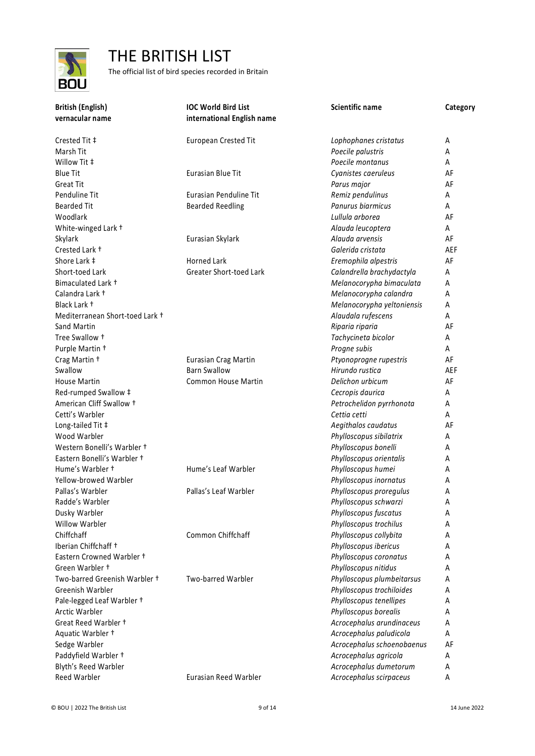

| <b>British (English)</b><br>vernacular name | <b>IOC World Bird List</b><br>international English name | <b>Scientific name</b>     | Category |
|---------------------------------------------|----------------------------------------------------------|----------------------------|----------|
| Crested Tit ‡                               | European Crested Tit                                     | Lophophanes cristatus      | A        |
| Marsh Tit                                   |                                                          | Poecile palustris          | A        |
| Willow Tit ‡                                |                                                          | Poecile montanus           | A        |
| <b>Blue Tit</b>                             | Eurasian Blue Tit                                        | Cyanistes caeruleus        | AF       |
| <b>Great Tit</b>                            |                                                          | Parus major                | AF       |
| Penduline Tit                               | Eurasian Penduline Tit                                   | Remiz pendulinus           | Α        |
| <b>Bearded Tit</b>                          | <b>Bearded Reedling</b>                                  | Panurus biarmicus          | A        |
| Woodlark                                    |                                                          | Lullula arborea            | AF       |
| White-winged Lark +                         |                                                          | Alauda leucoptera          | A        |
| Skylark                                     | Eurasian Skylark                                         | Alauda arvensis            | AF       |
| Crested Lark +                              |                                                          | Galerida cristata          | AEF      |
| Shore Lark ‡                                | <b>Horned Lark</b>                                       | Eremophila alpestris       | AF       |
| Short-toed Lark                             | Greater Short-toed Lark                                  | Calandrella brachydactyla  | Α        |
| Bimaculated Lark +                          |                                                          | Melanocorypha bimaculata   | A        |
| Calandra Lark +                             |                                                          | Melanocorypha calandra     | A        |
| Black Lark +                                |                                                          | Melanocorypha yeltoniensis | A        |
| Mediterranean Short-toed Lark +             |                                                          | Alaudala rufescens         | A        |
| Sand Martin                                 |                                                          | Riparia riparia            | AF       |
| Tree Swallow +                              |                                                          | Tachycineta bicolor        | A        |
| Purple Martin +                             |                                                          | Progne subis               | А        |
| Crag Martin +                               | Eurasian Crag Martin                                     | Ptyonoprogne rupestris     | AF       |
| Swallow                                     | <b>Barn Swallow</b>                                      | Hirundo rustica            | AEF      |
| <b>House Martin</b>                         | Common House Martin                                      | Delichon urbicum           | AF       |
| Red-rumped Swallow ‡                        |                                                          | Cecropis daurica           | A        |
| American Cliff Swallow +                    |                                                          | Petrochelidon pyrrhonota   | A        |
| Cetti's Warbler                             |                                                          | Cettia cetti               | A        |
| Long-tailed Tit ‡                           |                                                          | Aegithalos caudatus        | AF       |
| Wood Warbler                                |                                                          | Phylloscopus sibilatrix    | Α        |
| Western Bonelli's Warbler +                 |                                                          | Phylloscopus bonelli       | A        |
| Eastern Bonelli's Warbler +                 |                                                          | Phylloscopus orientalis    | A        |
| Hume's Warbler +                            | Hume's Leaf Warbler                                      | Phylloscopus humei         | A        |
| Yellow-browed Warbler                       |                                                          | Phylloscopus inornatus     | A        |
| Pallas's Warbler                            | Pallas's Leaf Warbler                                    | Phylloscopus proregulus    | A        |
| Radde's Warbler                             |                                                          | Phylloscopus schwarzi      | A        |
| Dusky Warbler                               |                                                          | Phylloscopus fuscatus      | А        |
| <b>Willow Warbler</b>                       |                                                          | Phylloscopus trochilus     | A        |
| Chiffchaff                                  | Common Chiffchaff                                        | Phylloscopus collybita     | A        |
| Iberian Chiffchaff +                        |                                                          | Phylloscopus ibericus      | A        |
| Eastern Crowned Warbler +                   |                                                          | Phylloscopus coronatus     | A        |
| Green Warbler +                             |                                                          | Phylloscopus nitidus       | A        |
| Two-barred Greenish Warbler +               | <b>Two-barred Warbler</b>                                | Phylloscopus plumbeitarsus | А        |
| Greenish Warbler                            |                                                          | Phylloscopus trochiloides  | Α        |
| Pale-legged Leaf Warbler +                  |                                                          | Phylloscopus tenellipes    | A        |
| Arctic Warbler                              |                                                          | Phylloscopus borealis      | A        |
| Great Reed Warbler +                        |                                                          | Acrocephalus arundinaceus  | A        |
| Aquatic Warbler +                           |                                                          | Acrocephalus paludicola    | A        |
| Sedge Warbler                               |                                                          | Acrocephalus schoenobaenus | AF       |
| Paddyfield Warbler +                        |                                                          | Acrocephalus agricola      | Α        |
| Blyth's Reed Warbler                        |                                                          | Acrocephalus dumetorum     | А        |
| Reed Warbler                                | Eurasian Reed Warbler                                    | Acrocephalus scirpaceus    | Α        |
|                                             |                                                          |                            |          |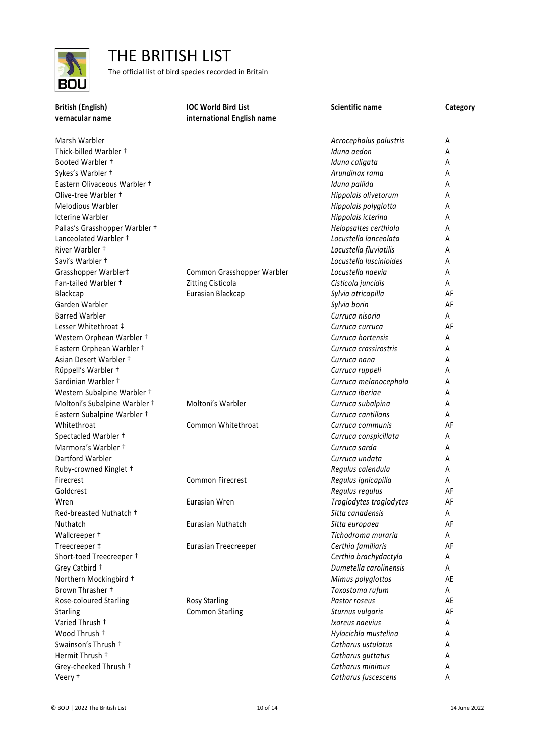

| <b>British (English)</b><br>vernacular name | <b>IOC World Bird List</b><br>international English name | Scientific name         | Category |
|---------------------------------------------|----------------------------------------------------------|-------------------------|----------|
| Marsh Warbler                               |                                                          | Acrocephalus palustris  | Α        |
| Thick-billed Warbler +                      |                                                          | Iduna aedon             | A        |
| Booted Warbler +                            |                                                          | Iduna caligata          | A        |
| Sykes's Warbler +                           |                                                          | Arundinax rama          | A        |
| Eastern Olivaceous Warbler +                |                                                          | Iduna pallida           | A        |
| Olive-tree Warbler +                        |                                                          | Hippolais olivetorum    | A        |
| Melodious Warbler                           |                                                          | Hippolais polyglotta    | Α        |
| <b>Icterine Warbler</b>                     |                                                          | Hippolais icterina      | Α        |
| Pallas's Grasshopper Warbler +              |                                                          | Helopsaltes certhiola   | A        |
| Lanceolated Warbler +                       |                                                          | Locustella lanceolata   | A        |
| River Warbler +                             |                                                          | Locustella fluviatilis  | A        |
| Savi's Warbler +                            |                                                          | Locustella luscinioides | A        |
| Grasshopper Warbler‡                        | Common Grasshopper Warbler                               | Locustella naevia       | Α        |
| Fan-tailed Warbler +                        | Zitting Cisticola                                        | Cisticola juncidis      | Α        |
| Blackcap                                    | Eurasian Blackcap                                        | Sylvia atricapilla      | AF       |
| Garden Warbler                              |                                                          | Sylvia borin            | AF       |
| <b>Barred Warbler</b>                       |                                                          | Curruca nisoria         | A        |
| Lesser Whitethroat ‡                        |                                                          | Curruca curruca         | AF       |
| Western Orphean Warbler +                   |                                                          | Curruca hortensis       | А        |
| Eastern Orphean Warbler +                   |                                                          | Curruca crassirostris   | А        |
| Asian Desert Warbler +                      |                                                          | Curruca nana            | A        |
| Rüppell's Warbler +                         |                                                          | Curruca ruppeli         | А        |
| Sardinian Warbler +                         |                                                          | Curruca melanocephala   | А        |
| Western Subalpine Warbler +                 |                                                          | Curruca iberiae         | A        |
| Moltoni's Subalpine Warbler +               | Moltoni's Warbler                                        | Curruca subalpina       | A        |
| Eastern Subalpine Warbler +                 |                                                          | Curruca cantillans      | A        |
| Whitethroat                                 | Common Whitethroat                                       | Curruca communis        | AF       |
| Spectacled Warbler +                        |                                                          | Curruca conspicillata   | Α        |
| Marmora's Warbler +                         |                                                          | Curruca sarda           | Α        |
| Dartford Warbler                            |                                                          | Curruca undata          | A        |
| Ruby-crowned Kinglet +                      |                                                          | Regulus calendula       | A        |
| Firecrest                                   | Common Firecrest                                         | Regulus ignicapilla     | A        |
| Goldcrest                                   |                                                          | Regulus regulus         | AF       |
| Wren                                        | Eurasian Wren                                            | Troglodytes troglodytes | AF       |
| Red-breasted Nuthatch +                     |                                                          | Sitta canadensis        | Α        |
| Nuthatch                                    | Eurasian Nuthatch                                        | Sitta europaea          | AF       |
| Wallcreeper +                               |                                                          | Tichodroma muraria      | A        |
| Treecreeper ‡                               | <b>Eurasian Treecreeper</b>                              | Certhia familiaris      | AF       |
| Short-toed Treecreeper +                    |                                                          | Certhia brachydactyla   | Α        |
| Grey Catbird +                              |                                                          | Dumetella carolinensis  | Α        |
| Northern Mockingbird +                      |                                                          | Mimus polyglottos       | AE       |
| Brown Thrasher +                            |                                                          | Toxostoma rufum         | A        |
| Rose-coloured Starling                      | <b>Rosy Starling</b>                                     | Pastor roseus           | AE       |
| Starling                                    | <b>Common Starling</b>                                   | Sturnus vulgaris        | AF       |
| Varied Thrush +                             |                                                          | Ixoreus naevius         | Α        |
| Wood Thrush +                               |                                                          | Hylocichla mustelina    | Α        |
| Swainson's Thrush +                         |                                                          | Catharus ustulatus      | А        |
| Hermit Thrush +                             |                                                          | Catharus guttatus       | A        |
| Grey-cheeked Thrush +                       |                                                          | Catharus minimus        | А        |
| Veery +                                     |                                                          | Catharus fuscescens     | Α        |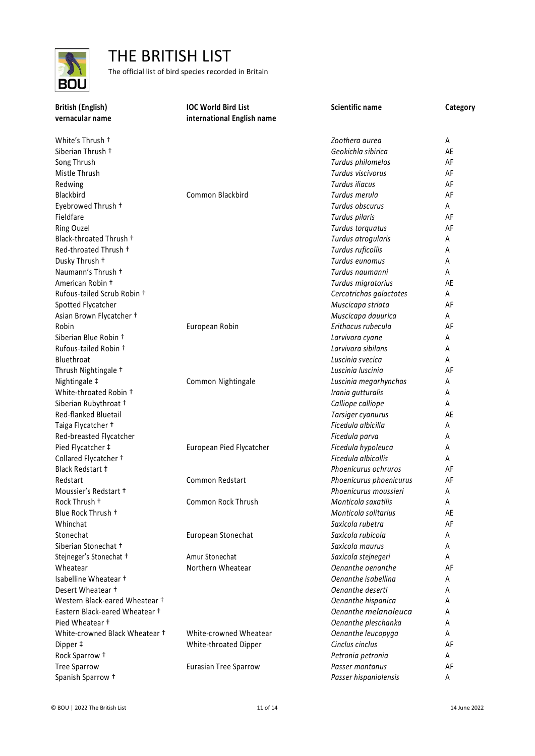

| <b>British (English)</b>       | <b>IOC World Bird List</b>   | <b>Scientific name</b>  | Category |
|--------------------------------|------------------------------|-------------------------|----------|
| vernacular name                | international English name   |                         |          |
|                                |                              |                         |          |
| White's Thrush +               |                              | Zoothera aurea          | Α        |
| Siberian Thrush +              |                              | Geokichla sibirica      | AE       |
| Song Thrush                    |                              | Turdus philomelos       | AF       |
| Mistle Thrush                  |                              | Turdus viscivorus       | AF       |
| Redwing                        |                              | Turdus iliacus          | AF       |
| Blackbird                      | Common Blackbird             | Turdus merula           | AF       |
| Eyebrowed Thrush +             |                              | Turdus obscurus         | A        |
| Fieldfare                      |                              | Turdus pilaris          | AF       |
| Ring Ouzel                     |                              | Turdus torquatus        | AF       |
| Black-throated Thrush +        |                              | Turdus atrogularis      | Α        |
| Red-throated Thrush +          |                              | Turdus ruficollis       | A        |
| Dusky Thrush +                 |                              | Turdus eunomus          | A        |
| Naumann's Thrush +             |                              | Turdus naumanni         | A        |
| American Robin +               |                              | Turdus migratorius      | AE       |
| Rufous-tailed Scrub Robin +    |                              | Cercotrichas galactotes | A        |
| Spotted Flycatcher             |                              | Muscicapa striata       | AF       |
| Asian Brown Flycatcher +       |                              | Muscicapa dauurica      | A        |
| Robin                          | European Robin               | Erithacus rubecula      | AF       |
| Siberian Blue Robin +          |                              | Larvivora cyane         | Α        |
| Rufous-tailed Robin +          |                              | Larvivora sibilans      | Α        |
| Bluethroat                     |                              | Luscinia svecica        | A        |
| Thrush Nightingale +           |                              | Luscinia luscinia       | AF       |
| Nightingale ‡                  | Common Nightingale           | Luscinia megarhynchos   | Α        |
| White-throated Robin +         |                              | Irania gutturalis       | A        |
| Siberian Rubythroat +          |                              | Calliope calliope       | A        |
| Red-flanked Bluetail           |                              | Tarsiger cyanurus       | AE       |
| Taiga Flycatcher +             |                              | Ficedula albicilla      | A        |
| Red-breasted Flycatcher        |                              | Ficedula parva          | A        |
| Pied Flycatcher ‡              | European Pied Flycatcher     | Ficedula hypoleuca      | A        |
| Collared Flycatcher +          |                              | Ficedula albicollis     | A        |
| Black Redstart ‡               |                              | Phoenicurus ochruros    | AF       |
| Redstart                       | Common Redstart              | Phoenicurus phoenicurus | AF       |
| Moussier's Redstart +          |                              | Phoenicurus moussieri   | Α        |
| Rock Thrush +                  | Common Rock Thrush           | Monticola saxatilis     | Α        |
| Blue Rock Thrush +             |                              | Monticola solitarius    | AE       |
| Whinchat                       |                              | Saxicola rubetra        | AF       |
| Stonechat                      | European Stonechat           | Saxicola rubicola       | Α        |
| Siberian Stonechat +           |                              | Saxicola maurus         | A        |
| Stejneger's Stonechat +        | Amur Stonechat               | Saxicola stejnegeri     | A        |
| Wheatear                       | Northern Wheatear            | Oenanthe oenanthe       | AF       |
| Isabelline Wheatear +          |                              | Oenanthe isabellina     | A        |
| Desert Wheatear +              |                              | Oenanthe deserti        |          |
|                                |                              |                         | Α        |
| Western Black-eared Wheatear + |                              | Oenanthe hispanica      | Α        |
| Eastern Black-eared Wheatear + |                              | Oenanthe melanoleuca    | Α        |
| Pied Wheatear +                |                              | Oenanthe pleschanka     | A        |
| White-crowned Black Wheatear + | White-crowned Wheatear       | Oenanthe leucopyga      | A        |
| Dipper ‡                       | White-throated Dipper        | Cinclus cinclus         | AF       |
| Rock Sparrow +                 |                              | Petronia petronia       | Α        |
| <b>Tree Sparrow</b>            | <b>Eurasian Tree Sparrow</b> | Passer montanus         | AF       |
| Spanish Sparrow +              |                              | Passer hispaniolensis   | A        |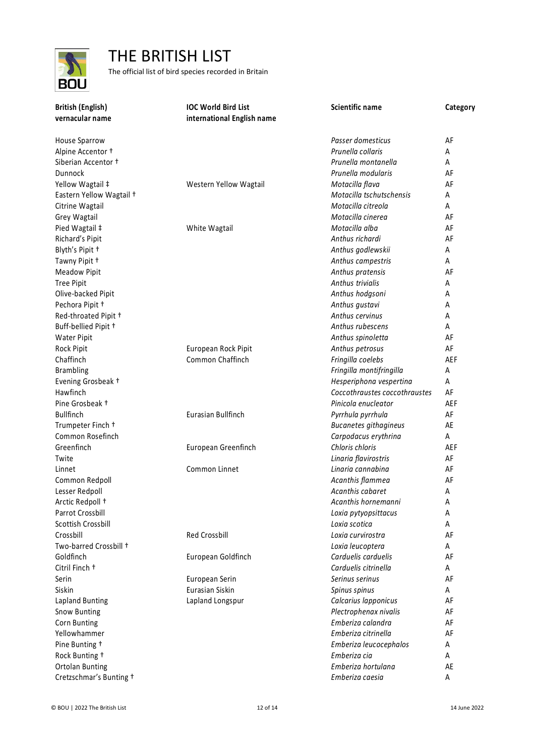

| <b>British (English)</b> | <b>IOC World Bird List</b> | <b>Scientific name</b>               | Category |
|--------------------------|----------------------------|--------------------------------------|----------|
| vernacular name          | international English name |                                      |          |
| <b>House Sparrow</b>     |                            | Passer domesticus                    | AF       |
| Alpine Accentor +        |                            | Prunella collaris                    | Α        |
| Siberian Accentor +      |                            | Prunella montanella                  | Α        |
| Dunnock                  |                            | Prunella modularis                   | AF       |
| Yellow Wagtail ‡         | Western Yellow Wagtail     | Motacilla flava                      | AF       |
| Eastern Yellow Wagtail + |                            | Motacilla tschutschensis             | A        |
| Citrine Wagtail          |                            | Motacilla citreola                   | A        |
| Grey Wagtail             |                            | Motacilla cinerea                    | AF       |
| Pied Wagtail ‡           | White Wagtail              | Motacilla alba                       | AF       |
| Richard's Pipit          |                            | Anthus richardi                      | AF       |
| Blyth's Pipit +          |                            | Anthus godlewskii                    | Α        |
| Tawny Pipit +            |                            | Anthus campestris                    | A        |
| <b>Meadow Pipit</b>      |                            |                                      | AF       |
| <b>Tree Pipit</b>        |                            | Anthus pratensis<br>Anthus trivialis | Α        |
| Olive-backed Pipit       |                            | Anthus hodgsoni                      | Α        |
| Pechora Pipit +          |                            |                                      |          |
|                          |                            | Anthus gustavi<br>Anthus cervinus    | Α        |
| Red-throated Pipit +     |                            |                                      | Α        |
| Buff-bellied Pipit +     |                            | Anthus rubescens                     | A        |
| Water Pipit              |                            | Anthus spinoletta                    | AF       |
| Rock Pipit               | European Rock Pipit        | Anthus petrosus                      | AF       |
| Chaffinch                | Common Chaffinch           | Fringilla coelebs                    | AEF      |
| <b>Brambling</b>         |                            | Fringilla montifringilla             | Α        |
| Evening Grosbeak +       |                            | Hesperiphona vespertina              | Α        |
| Hawfinch                 |                            | Coccothraustes coccothraustes        | AF       |
| Pine Grosbeak +          |                            | Pinicola enucleator                  | AEF      |
| <b>Bullfinch</b>         | Eurasian Bullfinch         | Pyrrhula pyrrhula                    | AF       |
| Trumpeter Finch +        |                            | Bucanetes githagineus                | AE       |
| Common Rosefinch         |                            | Carpodacus erythrina                 | Α        |
| Greenfinch               | European Greenfinch        | Chloris chloris                      | AEF      |
| Twite                    |                            | Linaria flavirostris                 | AF       |
| Linnet                   | Common Linnet              | Linaria cannabina                    | AF       |
| Common Redpoll           |                            | Acanthis flammea                     | AF       |
| Lesser Redpoll           |                            | Acanthis cabaret                     | Α        |
| Arctic Redpoll +         |                            | Acanthis hornemanni                  | А        |
| Parrot Crossbill         |                            | Loxia pytyopsittacus                 | Α        |
| Scottish Crossbill       |                            | Loxia scotica                        | A        |
| Crossbill                | <b>Red Crossbill</b>       | Loxia curvirostra                    | AF       |
| Two-barred Crossbill +   |                            | Loxia leucoptera                     | Α        |
| Goldfinch                | European Goldfinch         | Carduelis carduelis                  | AF       |
| Citril Finch +           |                            | Carduelis citrinella                 | A        |
| Serin                    | European Serin             | Serinus serinus                      | AF       |
| Siskin                   | Eurasian Siskin            | Spinus spinus                        | Α        |
| <b>Lapland Bunting</b>   | Lapland Longspur           | Calcarius Iapponicus                 | AF       |
| <b>Snow Bunting</b>      |                            | Plectrophenax nivalis                | AF       |
| Corn Bunting             |                            | Emberiza calandra                    | AF       |
| Yellowhammer             |                            | Emberiza citrinella                  | AF       |
| Pine Bunting +           |                            | Emberiza leucocephalos               | Α        |
| Rock Bunting +           |                            | Emberiza cia                         | A        |
| <b>Ortolan Bunting</b>   |                            | Emberiza hortulana                   | AE       |
| Cretzschmar's Bunting +  |                            | Emberiza caesia                      | А        |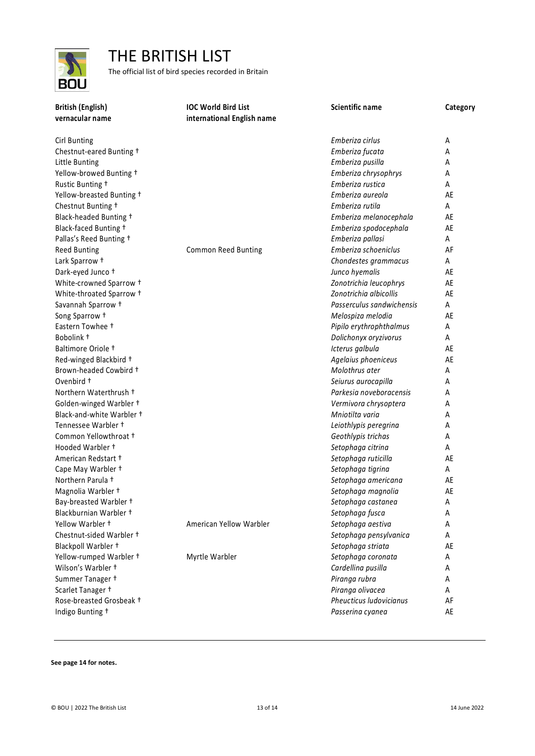

The official list of bird species recorded in Britain

| <b>British (English)</b><br>vernacular name | <b>IOC World Bird List</b><br>international English name | <b>Scientific name</b>    | Category     |
|---------------------------------------------|----------------------------------------------------------|---------------------------|--------------|
| Cirl Bunting                                |                                                          | Emberiza cirlus           | Α            |
| Chestnut-eared Bunting +                    |                                                          | Emberiza fucata           | Α            |
| Little Bunting                              |                                                          | Emberiza pusilla          | A            |
| Yellow-browed Bunting +                     |                                                          | Emberiza chrysophrys      | A            |
| Rustic Bunting +                            |                                                          | Emberiza rustica          | A            |
| Yellow-breasted Bunting +                   |                                                          | Emberiza aureola          | AE           |
| Chestnut Bunting +                          |                                                          | Emberiza rutila           | A            |
| Black-headed Bunting +                      |                                                          | Emberiza melanocephala    | AE           |
| Black-faced Bunting +                       |                                                          | Emberiza spodocephala     | AE           |
| Pallas's Reed Bunting +                     |                                                          | Emberiza pallasi          | A            |
| <b>Reed Bunting</b>                         | <b>Common Reed Bunting</b>                               | Emberiza schoeniclus      | AF           |
| Lark Sparrow +                              |                                                          | Chondestes grammacus      | A            |
| Dark-eyed Junco +                           |                                                          | Junco hyemalis            | AE           |
| White-crowned Sparrow +                     |                                                          | Zonotrichia leucophrys    | AE           |
| White-throated Sparrow +                    |                                                          | Zonotrichia albicollis    | AE           |
| Savannah Sparrow +                          |                                                          | Passerculus sandwichensis | A            |
| Song Sparrow +                              |                                                          | Melospiza melodia         | AE           |
| Eastern Towhee +                            |                                                          | Pipilo erythrophthalmus   | A            |
| Bobolink +                                  |                                                          | Dolichonyx oryzivorus     | A            |
| Baltimore Oriole +                          |                                                          | Icterus galbula           | AE           |
| Red-winged Blackbird +                      |                                                          | Agelaius phoeniceus       | AE           |
| Brown-headed Cowbird +                      |                                                          | Molothrus ater            | A            |
| Ovenbird +                                  |                                                          | Seiurus aurocapilla       | A            |
| Northern Waterthrush +                      |                                                          | Parkesia noveboracensis   | A            |
| Golden-winged Warbler +                     |                                                          | Vermivora chrysoptera     | A            |
| Black-and-white Warbler +                   |                                                          | Mniotilta varia           | A            |
| Tennessee Warbler +                         |                                                          | Leiothlypis peregrina     | A            |
| Common Yellowthroat +                       |                                                          | Geothlypis trichas        | A            |
| Hooded Warbler +                            |                                                          | Setophaga citrina         | A            |
| American Redstart +                         |                                                          | Setophaga ruticilla       | AE           |
| Cape May Warbler +                          |                                                          | Setophaga tigrina         | $\mathsf{A}$ |
| Northern Parula +                           |                                                          | Setophaga americana       | AE           |
| Magnolia Warbler +                          |                                                          | Setophaga magnolia        | AE           |
| Bay-breasted Warbler +                      |                                                          | Setophaga castanea        | А            |
| Blackburnian Warbler +                      |                                                          | Setophaga fusca           | Α            |
| Yellow Warbler +                            | American Yellow Warbler                                  | Setophaga aestiva         | А            |
| Chestnut-sided Warbler +                    |                                                          | Setophaga pensylvanica    | Α            |
| Blackpoll Warbler +                         |                                                          | Setophaga striata         | AE           |
| Yellow-rumped Warbler +                     | Myrtle Warbler                                           | Setophaga coronata        | A            |
| Wilson's Warbler +                          |                                                          | Cardellina pusilla        | Α            |
| Summer Tanager +                            |                                                          | Piranga rubra             | A            |
| Scarlet Tanager +                           |                                                          | Piranga olivacea          | Α            |
| Rose-breasted Grosbeak +                    |                                                          | Pheucticus Iudovicianus   | AF           |
| Indigo Bunting +                            |                                                          | Passerina cyanea          | AE           |

**See page 14 for notes.**